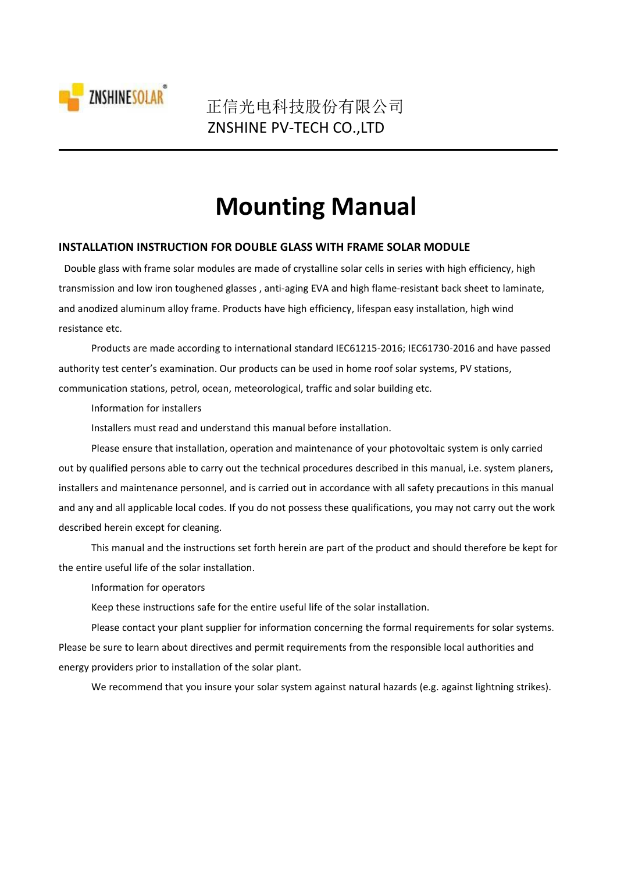

# **Mounting Manual**

#### **INSTALLATION INSTRUCTION FOR DOUBLE GLASS WITH FRAME SOLAR MODULE**

Double glass with frame solar modules are made of crystalline solar cells in series with high efficiency, high transmission and low iron toughened glasses , anti-aging EVA and high flame-resistant back sheet to laminate, and anodized aluminum alloy frame. Products have high efficiency, lifespan easy installation, high wind resistance etc.

Products are made according to international standard IEC61215-2016; IEC61730-2016 and have passed authority test center's examination. Our products can be used in home roof solar systems, PV stations, communication stations, petrol, ocean, meteorological, traffic and solar building etc.

Information for installers

Installers must read and understand this manual before installation.

Please ensure that installation, operation and maintenance of your photovoltaic system is only carried out by qualified persons able to carry out the technical procedures described in this manual, i.e. system planers, installers and maintenance personnel, and is carried out in accordance with all safety precautions in this manual and any and all applicable local codes. If you do not possess these qualifications, you may not carry out the work described herein except for cleaning.

This manual and the instructions set forth herein are part of the product and should therefore be kept for the entire useful life of the solar installation.

Information for operators

Keep these instructions safe for the entire useful life of the solar installation.

Please contact your plant supplier for information concerning the formal requirements for solar systems. Please be sure to learn about directives and permit requirements from the responsible local authorities and energy providers prior to installation of the solar plant.

We recommend that you insure your solar system against natural hazards (e.g. against lightning strikes).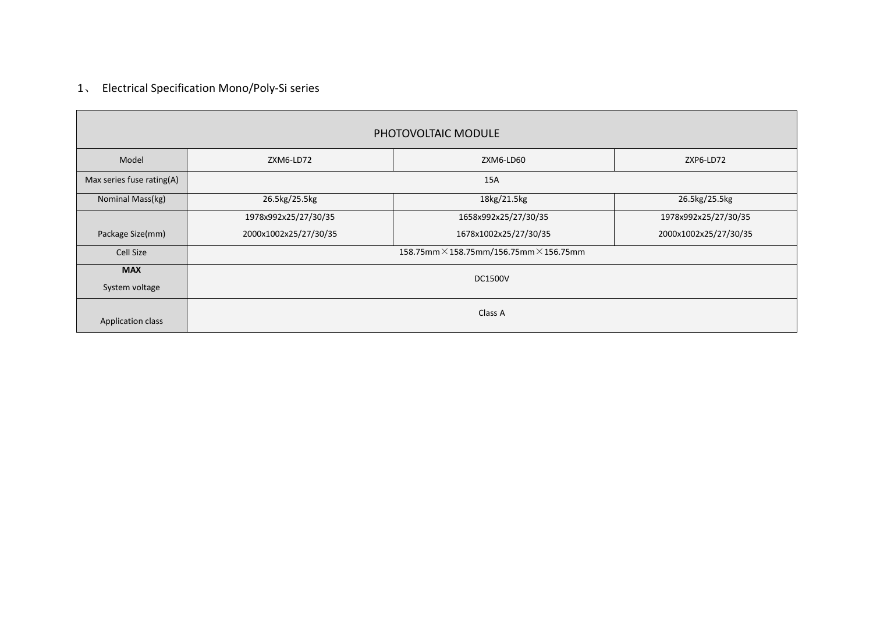# 1、 Electrical Specification Mono/Poly-Si series

|                              |                       | PHOTOVOLTAIC MODULE                                   |                       |
|------------------------------|-----------------------|-------------------------------------------------------|-----------------------|
| Model                        | ZXM6-LD72             | ZXM6-LD60                                             | ZXP6-LD72             |
| Max series fuse rating(A)    |                       | 15A                                                   |                       |
| Nominal Mass(kg)             | 26.5kg/25.5kg         | 18kg/21.5kg                                           | 26.5kg/25.5kg         |
|                              | 1978x992x25/27/30/35  | 1658x992x25/27/30/35                                  | 1978x992x25/27/30/35  |
| Package Size(mm)             | 2000x1002x25/27/30/35 | 1678x1002x25/27/30/35                                 | 2000x1002x25/27/30/35 |
| Cell Size                    |                       | 158.75mm $\times$ 158.75mm/156.75mm $\times$ 156.75mm |                       |
| <b>MAX</b><br>System voltage |                       | <b>DC1500V</b>                                        |                       |
| Application class            |                       | Class A                                               |                       |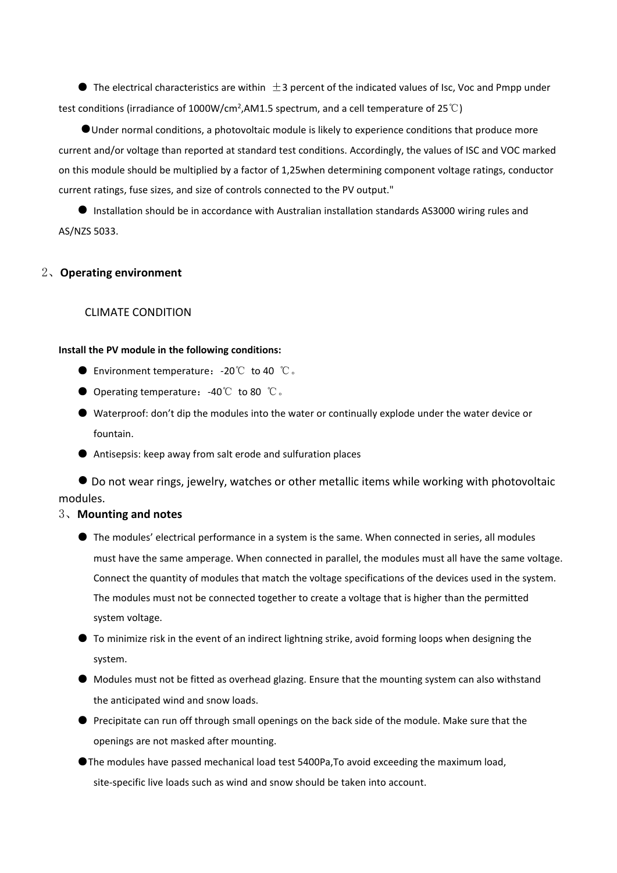$\bullet$  The electrical characteristics are within  $\pm$ 3 percent of the indicated values of Isc, Voc and Pmpp under test conditions (irradiance of 1000W/cm<sup>2</sup>,AM1.5 spectrum, and a cell temperature of 25℃)

●Under normal conditions, a photovoltaic module is likely to experience conditions that produce more current and/or voltage than reported at standard test conditions. Accordingly, the values of ISC and VOC marked on this module should be multiplied by a factor of 1,25when determining component voltage ratings, conductor current ratings, fuse sizes, and size of controls connected to the PV output."

● Installation should be in accordance with Australian installation standards AS3000 wiring rules and AS/NZS 5033.

# 2、**Operating environment**

# CLIMATE CONDITION

#### **Install the PV module in the following conditions:**

- Environment temperature: -20℃ to 40 ℃。
- Operating temperature: -40℃ to 80 ℃.
- Waterproof: don't dip the modules into the water or continually explode under the water device or fountain.
- Antisepsis: keep away from salt erode and sulfuration places

● Do not wear rings, jewelry, watches or other metallic items while working with photovoltaic modules.

# 3、**Mounting and notes**

- The modules' electrical performance in a system is the same. When connected in series, all modules must have the same amperage.When connected in parallel, the modules must all have the same voltage. Connect the quantity of modules that match the voltage specifications of the devices used in the system. The modules must not be connected together to create a voltage that is higher than the permitted system voltage.
- $\bullet$  To minimize risk in the event of an indirect lightning strike, avoid forming loops when designing the system.
- Modules must not be fitted as overhead glazing. Ensure that the mounting system can also withstand the anticipated wind and snow loads.
- Precipitate can run off through small openings on the back side of the module. Make sure that the openings are not masked after mounting.
- ●The modules have passed mechanical load test 5400Pa,To avoid exceeding the maximum load, site-specific live loads such as wind and snow should be taken into account.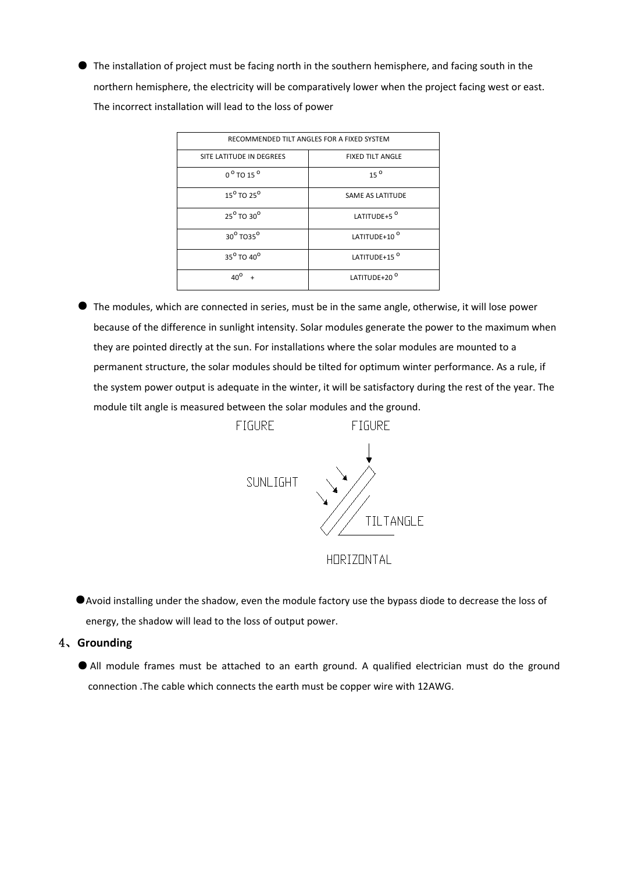● The installation of project must be facing north in the southern hemisphere, and facing south in the northern hemisphere, the electricity will be comparatively lower when the project facing west or east. The incorrect installation will lead to the loss of power

| RECOMMENDED TILT ANGLES FOR A FIXED SYSTEM |                          |  |
|--------------------------------------------|--------------------------|--|
| SITE LATITUDE IN DEGREES                   | <b>FIXED TILT ANGLE</b>  |  |
| $0^{\circ}$ TO 15 $^{\circ}$               | $15^{0}$                 |  |
| $15^{\circ}$ TO $25^{\circ}$               | SAME AS LATITUDE         |  |
| 25 <sup>o</sup> TO 30 <sup>o</sup>         | LATITUDE+5 <sup>0</sup>  |  |
| 30 <sup>o</sup> TO35 <sup>o</sup>          | LATITUDE+10 <sup>0</sup> |  |
| 35 <sup>o</sup> TO 40 <sup>o</sup>         | LATITUDE+15 <sup>0</sup> |  |
|                                            | LATITUDE+20 <sup>0</sup> |  |

● The modules, which are connected in series, must be in the same angle, otherwise, it will lose power because of the difference in sunlight intensity. Solar modules generate the powerto the maximum when they are pointed directly at the sun. For installations where the solar modules are mounted to a permanent structure, the solar modules should be tilted for optimum winter performance. As a rule, if the system power output is adequate in the winter, it will be satisfactory during the rest of the year. The module tilt angle is measured between the solar modules and the ground.



- ●Avoid installing under the shadow, even the module factory use the bypass diode to decrease the loss of energy, the shadow will lead to the loss of output power.
- 4、**Grounding**
	- All module frames must be attached to an earth ground. A qualified electrician must do the ground connection .The cable which connects the earth must be copper wire with 12AWG.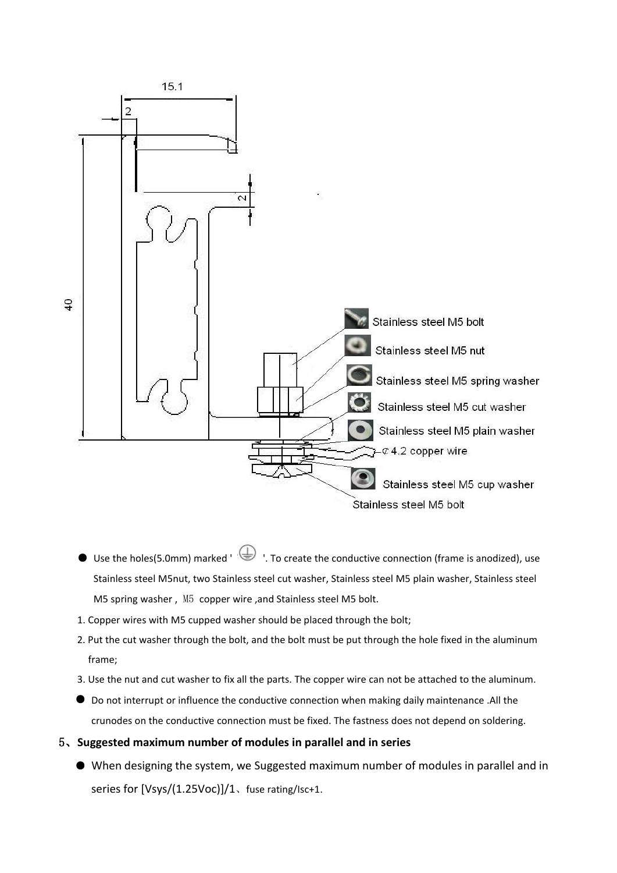

- Use the holes(5.0mm) marked ' ↓ To create the conductive connection (frame is anodized), use Stainless steel M5nut, two Stainless steel cut washer, Stainless steel M5 plain washer, Stainless steel M5 spring washer , M5 copper wire ,and Stainless steel M5 bolt.
- 1. Copper wires with M5 cupped washer should be placed through the bolt;
- 2. Put the cut washer through the bolt, and the bolt must be put through the hole fixed in the aluminum frame;
- 3. Use the nut and cut washer to fix all the parts. The copper wire can not be attached to the aluminum.
- Do not interrupt or influence the conductive connection when making daily maintenance .All the crunodes on the conductive connection must be fixed. The fastness does not depend on soldering.
- 5、**Suggested maximum number of modules in parallel and in series**
	- When designing the system, we Suggested maximum number of modules in parallel and in series for [Vsys/(1.25Voc)]/1、fuse rating/Isc+1.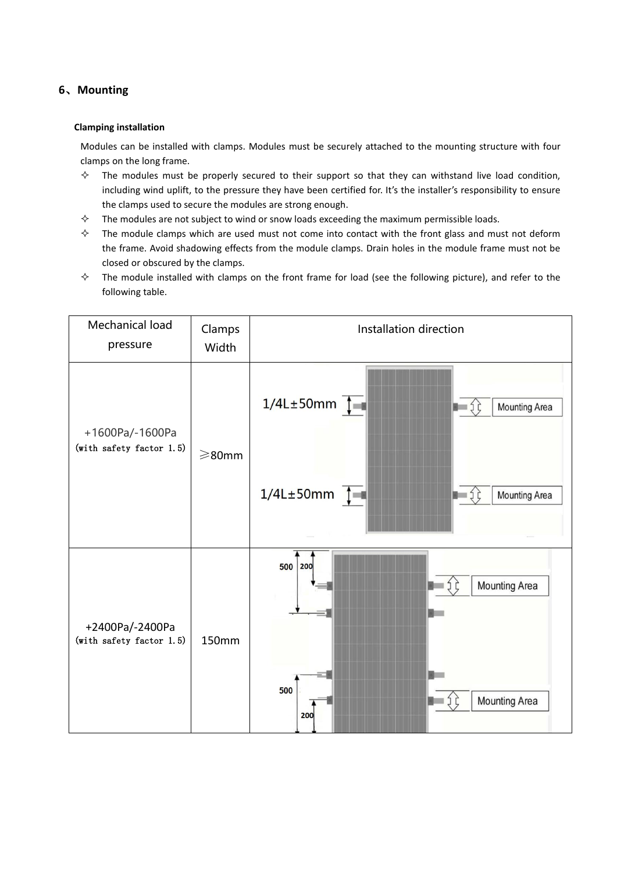# **6**、**Mounting**

#### **Clamping installation**

Modules can be installed with clamps. Modules must be securely attached to the mounting structure with four clamps on the long frame.

- $\diamond$  The modules must be properly secured to their support so that they can withstand live load condition, including wind uplift, to the pressure they have been certified for. It's the installer's responsibility to ensure the clamps used to secure the modules are strong enough.
- $\diamond$  The modules are not subject to wind or snow loads exceeding the maximum permissible loads.
- $\diamond$  The module clamps which are used must not come into contact with the front glass and must not deform the frame. Avoid shadowing effects from the module clamps. Drain holes in the module frame must not be closed or obscured by the clamps.
- $\diamond$  The module installed with clamps on the front frame for load (see the following picture), and refer to the following table.

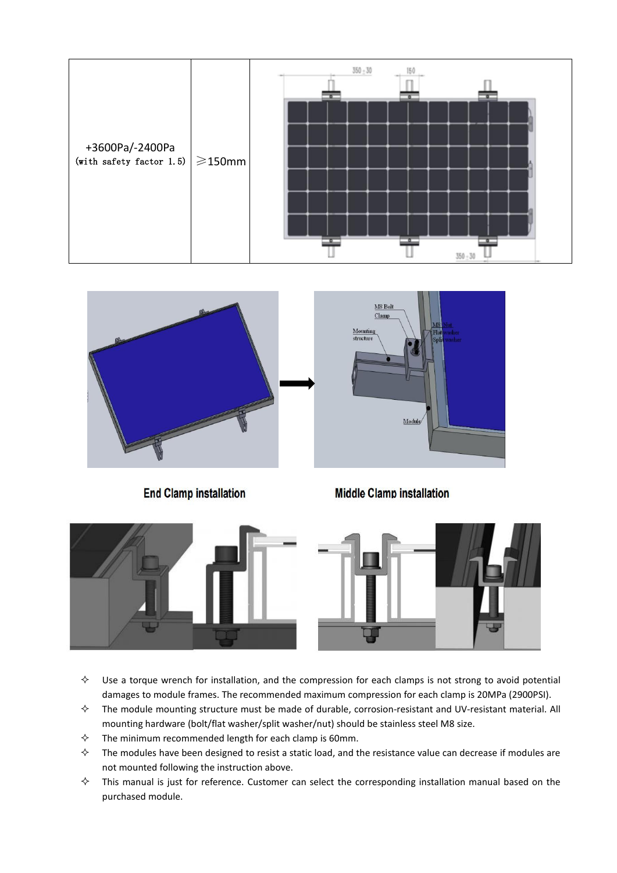



**End Clamp installation** 

**Middle Clamp installation** 

Module

M8 Bolt Clanm

Mounting structure





- $\Diamond$  Use a torque wrench for installation, and the compression for each clamps is not strong to avoid potential damages to module frames. The recommended maximum compression for each clamp is 20MPa (2900PSI).
- $\Diamond$  The module mounting structure must be made of durable, corrosion-resistant and UV-resistant material. All mounting hardware (bolt/flat washer/split washer/nut) should be stainless steel M8 size.
- $\Diamond$  The minimum recommended length for each clamp is 60mm.
- $\diamond$  The modules have been designed to resist a static load, and the resistance value can decrease if modules are not mounted following the instruction above.
- $\diamond$  This manual is just for reference. Customer can select the corresponding installation manual based on the purchased module.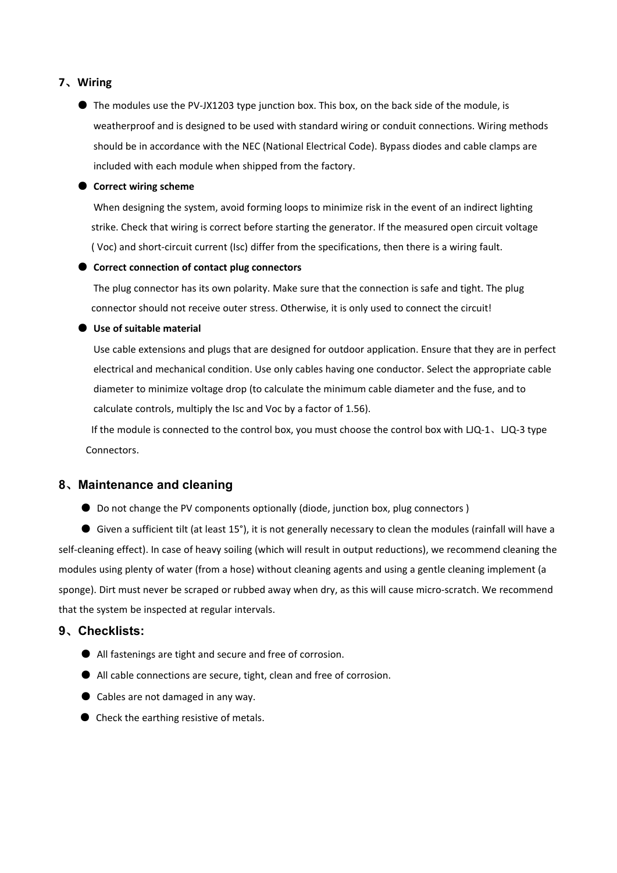# **7**、**Wiring**

● The modules use the PV-JX1203 type junction box. This box, on the back side of the module, is weatherproof and is designed to be used with standard wiring or conduit connections. Wiring methods should be in accordance with the NEC (National Electrical Code). Bypass diodes and cable clamps are included with each module when shipped from the factory.

#### ● **Correct wiring scheme**

When designing the system, avoid forming loops to minimize risk in the event of an indirect lighting strike. Check that wiring is correct before starting the generator. If the measured open circuit voltage ( Voc) and short-circuit current (Isc) differ from the specifications, then there is a wiring fault.

#### ● **Correct connection of contact plug connectors**

The plug connector has its own polarity. Make sure that the connection is safe and tight. The plug connector should not receive outer stress. Otherwise, it is only used to connect the circuit!

#### ● **Use of suitable material**

Use cable extensions and plugs that are designed for outdoor application. Ensure that they are in perfect electrical and mechanical condition. Use only cables having one conductor. Select the appropriate cable diameter to minimize voltage drop (to calculate the minimum cable diameter and the fuse, and to calculate controls, multiply the Isc and Voc by a factor of 1.56).

If the module is connected to the control box, you must choose the control box with LJQ-1、LJQ-3 type Connectors.

# **8**、**Maintenance and cleaning**

● Do not change the PV components optionally (diode, junction box, plug connectors)

 $\bullet$  Given a sufficient tilt (at least 15°), it is not generally necessary to clean the modules (rainfall will have a self-cleaning effect). In case of heavy soiling (which will result in output reductions), we recommend cleaning the modules using plenty of water (from a hose) without cleaning agents and using a gentle cleaning implement (a sponge). Dirt must never be scraped or rubbed away when dry, as this will cause micro-scratch. We recommend that the system be inspected at regular intervals.

#### **9**、**Checklists:**

- All fastenings are tight and secure and free of corrosion.
- All cable connections are secure, tight, clean and free of corrosion.
- Cables are not damaged in any way.
- Check the earthing resistive of metals.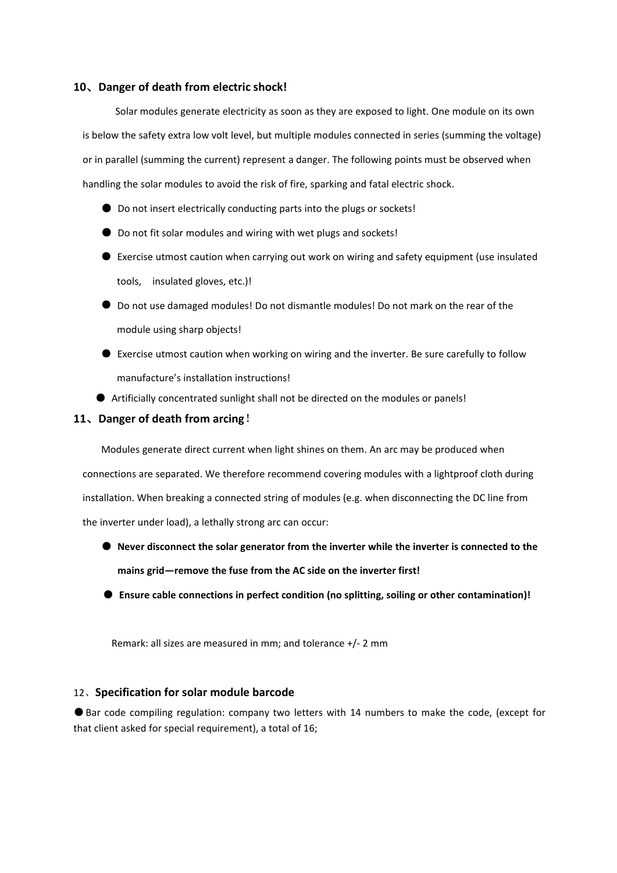#### **10**、**Danger of death from electric shock!**

Solar modules generate electricity as soon as they are exposed to light. One module on its own is below the safety extra low volt level, but multiple modules connected in series(summing the voltage) or in parallel (summing the current) represent a danger. The following points must be observed when handling the solar modules to avoid the risk of fire, sparking and fatal electric shock.

- Do not insert electrically conducting parts into the plugs or sockets!
- Do not fit solar modules and wiring with wet plugs and sockets!
- Exercise utmost caution when carrying out work on wiring and safety equipment (use insulated tools, insulated gloves, etc.)!
- Do not use damaged modules! Do not dismantle modules! Do not mark on the rear of the module using sharp objects!
- Exercise utmost caution when working on wiring and the inverter. Be sure carefully to follow manufacture's installation instructions!
- Artificially concentrated sunlight shall not be directed on the modules or panels!

#### **11**、**Danger of death from arcing**!

Modules generate direct current when light shines on them. An arc may be produced when connections are separated.We therefore recommend covering modules with a lightproof cloth during installation. When breaking a connected string of modules (e.g. when disconnecting the DC line from the inverter under load), a lethally strong arc can occur:

- **Never disconnect the solar generator from the inverter while the inverter is connected to the mains grid—remove the fuse from the AC side on the inverter first!**
- **Ensure cable connections in perfect condition (no splitting, soiling or other contamination)!**

Remark: all sizes are measured in mm; and tolerance +/- 2 mm

#### 12、**Specification for solar module barcode**

● Bar code compiling regulation: company two letters with 14 numbers to make the code, (except for that client asked for special requirement), a total of 16;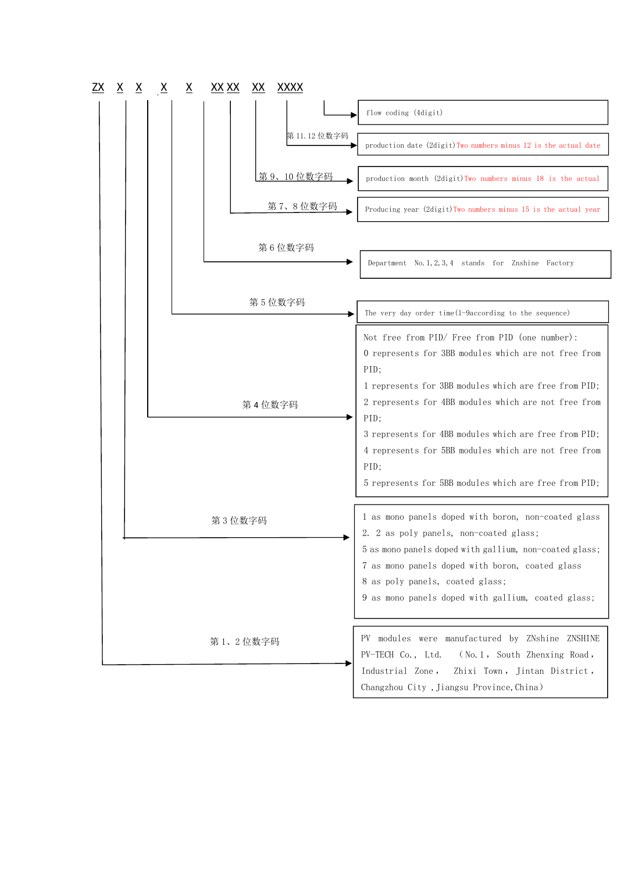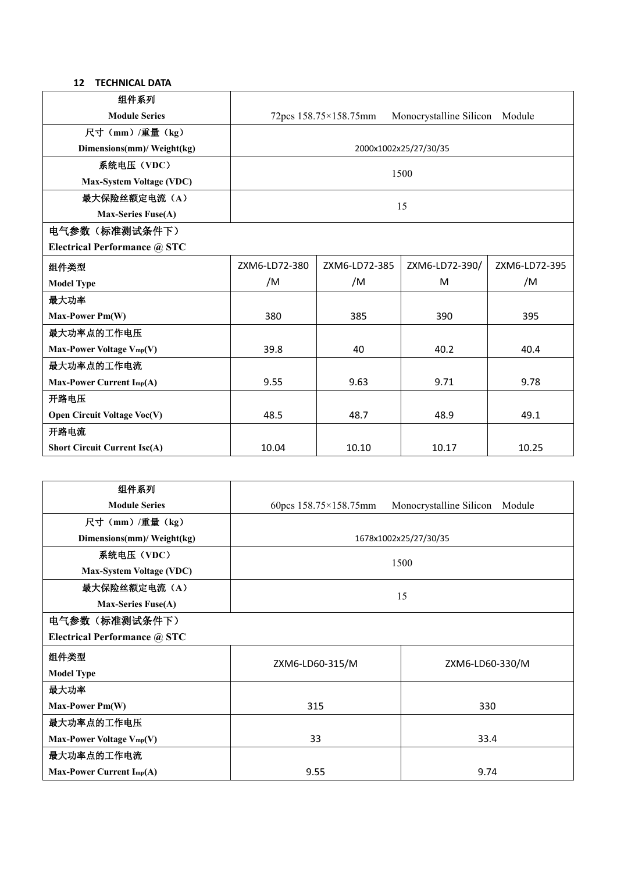# **12 TECHNICAL DATA**

| 组件系列                                |                       |                       |                                |               |
|-------------------------------------|-----------------------|-----------------------|--------------------------------|---------------|
| <b>Module Series</b>                |                       | 72pcs 158.75×158.75mm | Monocrystalline Silicon Module |               |
| 尺寸 (mm) /重量 (kg)                    |                       |                       |                                |               |
| Dimensions(mm)/ Weight(kg)          | 2000x1002x25/27/30/35 |                       |                                |               |
| 系统电压 (VDC)                          |                       |                       |                                |               |
| <b>Max-System Voltage (VDC)</b>     | 1500                  |                       |                                |               |
| 最大保险丝额定电流(A)                        |                       |                       |                                |               |
| <b>Max-Series Fuse(A)</b>           | 15                    |                       |                                |               |
| 电气参数 (标准测试条件下)                      |                       |                       |                                |               |
| Electrical Performance @ STC        |                       |                       |                                |               |
| 组件类型                                | ZXM6-LD72-380         | ZXM6-LD72-385         | ZXM6-LD72-390/                 | ZXM6-LD72-395 |
| <b>Model Type</b>                   | /M                    | /M                    | M                              | /M            |
| 最大功率                                |                       |                       |                                |               |
| Max-Power Pm(W)                     | 380                   | 385                   | 390                            | 395           |
| 最大功率点的工作电压                          |                       |                       |                                |               |
| Max-Power Voltage Vmp(V)            | 39.8                  | 40                    | 40.2                           | 40.4          |
| 最大功率点的工作电流                          |                       |                       |                                |               |
| Max-Power Current Imp(A)            | 9.55                  | 9.63                  | 9.71                           | 9.78          |
| 开路电压                                |                       |                       |                                |               |
| <b>Open Circuit Voltage Voc(V)</b>  | 48.5                  | 48.7                  | 48.9                           | 49.1          |
| 开路电流                                |                       |                       |                                |               |
| <b>Short Circuit Current Isc(A)</b> | 10.04                 | 10.10                 | 10.17                          | 10.25         |
|                                     |                       |                       |                                |               |

| 组件系列                                |                               |                                |  |
|-------------------------------------|-------------------------------|--------------------------------|--|
| <b>Module Series</b>                | 60pcs $158.75\times158.75$ mm | Monocrystalline Silicon Module |  |
| 尺寸 (mm) /重量 (kg)                    |                               |                                |  |
| Dimensions(mm)/ Weight(kg)          | 1678x1002x25/27/30/35         |                                |  |
| 系统电压 (VDC)                          | 1500                          |                                |  |
| <b>Max-System Voltage (VDC)</b>     |                               |                                |  |
| 最大保险丝额定电流(A)                        | 15                            |                                |  |
| <b>Max-Series Fuse(A)</b>           |                               |                                |  |
| 电气参数(标准测试条件下)                       |                               |                                |  |
| <b>Electrical Performance @ STC</b> |                               |                                |  |
| 组件类型                                | ZXM6-LD60-315/M               | ZXM6-LD60-330/M                |  |
| <b>Model Type</b>                   |                               |                                |  |
| 最大功率                                |                               |                                |  |
| Max-Power Pm(W)                     | 315                           | 330                            |  |
| 最大功率点的工作电压                          |                               |                                |  |
| Max-Power Voltage Vmp(V)            | 33                            | 33.4                           |  |
| 最大功率点的工作电流                          |                               |                                |  |
| Max-Power Current Imp(A)            | 9.55                          | 9.74                           |  |